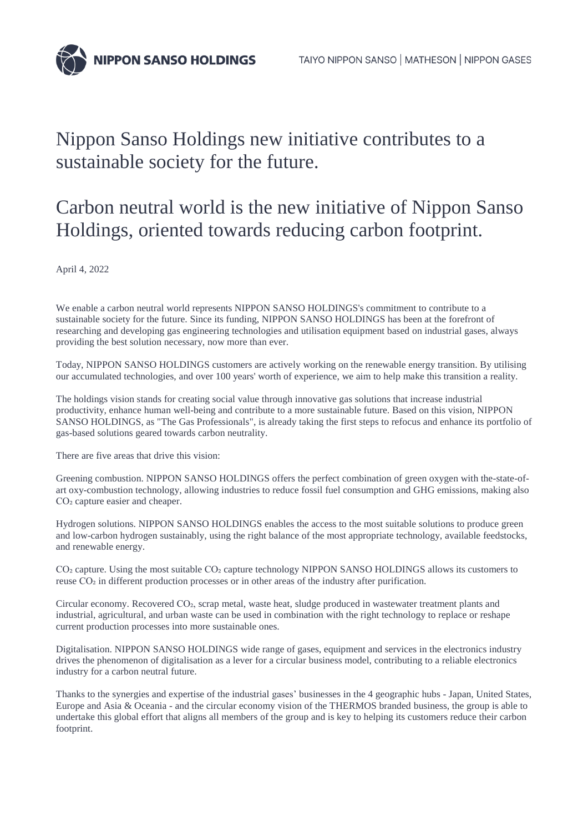

## Nippon Sanso Holdings new initiative contributes to a sustainable society for the future.

## Carbon neutral world is the new initiative of Nippon Sanso Holdings, oriented towards reducing carbon footprint.

April 4, 2022

We enable a carbon neutral world represents NIPPON SANSO HOLDINGS's commitment to contribute to a sustainable society for the future. Since its funding, NIPPON SANSO HOLDINGS has been at the forefront of researching and developing gas engineering technologies and utilisation equipment based on industrial gases, always providing the best solution necessary, now more than ever.

Today, NIPPON SANSO HOLDINGS customers are actively working on the renewable energy transition. By utilising our accumulated technologies, and over 100 years' worth of experience, we aim to help make this transition a reality.

The holdings vision stands for creating social value through innovative gas solutions that increase industrial productivity, enhance human well-being and contribute to a more sustainable future. Based on this vision, NIPPON SANSO HOLDINGS, as "The Gas Professionals", is already taking the first steps to refocus and enhance its portfolio of gas-based solutions geared towards carbon neutrality.

There are five areas that drive this vision:

Greening combustion. NIPPON SANSO HOLDINGS offers the perfect combination of green oxygen with the-state-ofart oxy-combustion technology, allowing industries to reduce fossil fuel consumption and GHG emissions, making also CO<sub>2</sub> capture easier and cheaper.

Hydrogen solutions. NIPPON SANSO HOLDINGS enables the access to the most suitable solutions to produce green and low-carbon hydrogen sustainably, using the right balance of the most appropriate technology, available feedstocks, and renewable energy.

CO<sub>2</sub> capture. Using the most suitable CO<sub>2</sub> capture technology NIPPON SANSO HOLDINGS allows its customers to reuse CO₂ in different production processes or in other areas of the industry after purification.

Circular economy. Recovered CO₂, scrap metal, waste heat, sludge produced in wastewater treatment plants and industrial, agricultural, and urban waste can be used in combination with the right technology to replace or reshape current production processes into more sustainable ones.

Digitalisation. NIPPON SANSO HOLDINGS wide range of gases, equipment and services in the electronics industry drives the phenomenon of digitalisation as a lever for a circular business model, contributing to a reliable electronics industry for a carbon neutral future.

Thanks to the synergies and expertise of the industrial gases' businesses in the 4 geographic hubs - Japan, United States, Europe and Asia & Oceania - and the circular economy vision of the THERMOS branded business, the group is able to undertake this global effort that aligns all members of the group and is key to helping its customers reduce their carbon footprint.